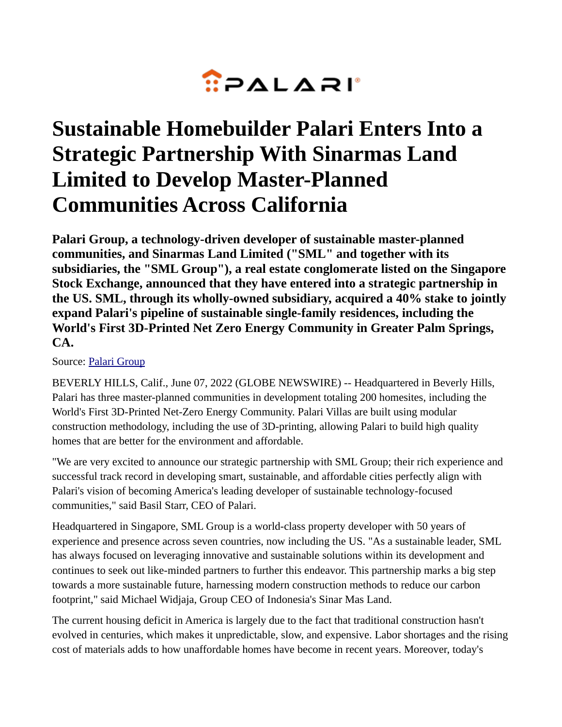

## **Sustainable Homebuilder Palari Enters Into a Strategic Partnership With Sinarmas Land Limited to Develop Master-Planned Communities Across California**

**Palari Group, a technology-driven developer of sustainable master-planned communities, and Sinarmas Land Limited ("SML" and together with its subsidiaries, the "SML Group"), a real estate conglomerate listed on the Singapore Stock Exchange, announced that they have entered into a strategic partnership in the US. SML, through its wholly-owned subsidiary, acquired a 40% stake to jointly expand Palari's pipeline of sustainable single-family residences, including the World's First 3D-Printed Net Zero Energy Community in Greater Palm Springs, CA.**

## Source: [Palari Group](https://www.globenewswire.com/en/search/organization/Palari%2520Group)

BEVERLY HILLS, Calif., June 07, 2022 (GLOBE NEWSWIRE) -- Headquartered in Beverly Hills, Palari has three master-planned communities in development totaling 200 homesites, including the World's First 3D-Printed Net-Zero Energy Community. Palari Villas are built using modular construction methodology, including the use of 3D-printing, allowing Palari to build high quality homes that are better for the environment and affordable.

"We are very excited to announce our strategic partnership with SML Group; their rich experience and successful track record in developing smart, sustainable, and affordable cities perfectly align with Palari's vision of becoming America's leading developer of sustainable technology-focused communities," said Basil Starr, CEO of Palari.

Headquartered in Singapore, SML Group is a world-class property developer with 50 years of experience and presence across seven countries, now including the US. "As a sustainable leader, SML has always focused on leveraging innovative and sustainable solutions within its development and continues to seek out like-minded partners to further this endeavor. This partnership marks a big step towards a more sustainable future, harnessing modern construction methods to reduce our carbon footprint," said Michael Widjaja, Group CEO of Indonesia's Sinar Mas Land.

The current housing deficit in America is largely due to the fact that traditional construction hasn't evolved in centuries, which makes it unpredictable, slow, and expensive. Labor shortages and the rising cost of materials adds to how unaffordable homes have become in recent years. Moreover, today's